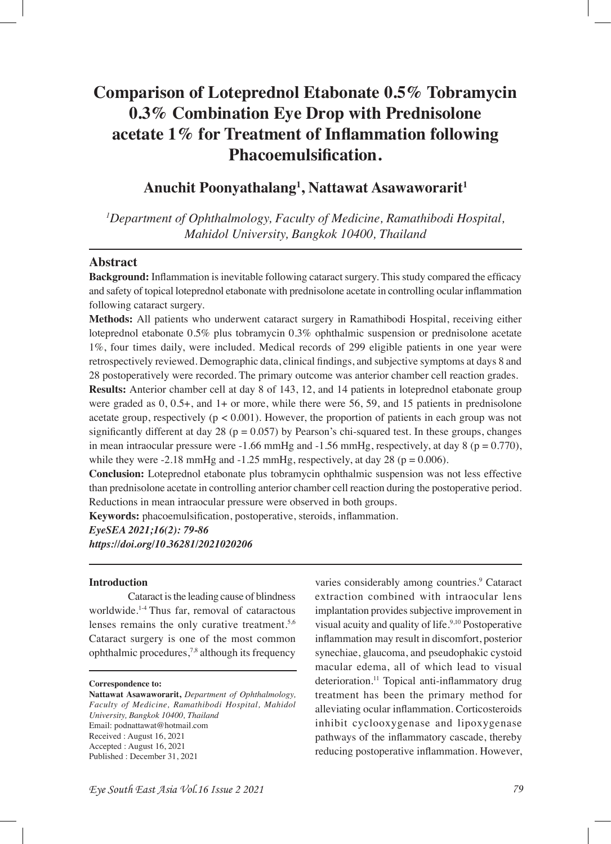# **Comparison of Loteprednol Etabonate 0.5% Tobramycin 0.3% Combination Eye Drop with Prednisolone acetate 1% for Treatment of Infammation following Phacoemulsifcation.**

# **Anuchit Poonyathalang1 , Nattawat Asawaworarit1**

*1 Department of Ophthalmology, Faculty of Medicine, Ramathibodi Hospital, Mahidol University, Bangkok 10400, Thailand*

# **Abstract**

**Background:** Infammation is inevitable following cataract surgery. This study compared the effcacy and safety of topical loteprednol etabonate with prednisolone acetate in controlling ocular infammation following cataract surgery.

**Methods:** All patients who underwent cataract surgery in Ramathibodi Hospital, receiving either loteprednol etabonate 0.5% plus tobramycin 0.3% ophthalmic suspension or prednisolone acetate 1%, four times daily, were included. Medical records of 299 eligible patients in one year were retrospectively reviewed. Demographic data, clinical fndings, and subjective symptoms at days 8 and 28 postoperatively were recorded. The primary outcome was anterior chamber cell reaction grades. **Results:** Anterior chamber cell at day 8 of 143, 12, and 14 patients in loteprednol etabonate group were graded as 0, 0.5+, and 1+ or more, while there were 56, 59, and 15 patients in prednisolone acetate group, respectively ( $p < 0.001$ ). However, the proportion of patients in each group was not significantly different at day 28 ( $p = 0.057$ ) by Pearson's chi-squared test. In these groups, changes in mean intraocular pressure were  $-1.66$  mmHg and  $-1.56$  mmHg, respectively, at day 8 ( $p = 0.770$ ), while they were  $-2.18$  mmHg and  $-1.25$  mmHg, respectively, at day 28 ( $p = 0.006$ ).

**Conclusion:** Loteprednol etabonate plus tobramycin ophthalmic suspension was not less effective than prednisolone acetate in controlling anterior chamber cell reaction during the postoperative period. Reductions in mean intraocular pressure were observed in both groups.

**Keywords:** phacoemulsifcation, postoperative, steroids, infammation.

*EyeSEA 2021;16(2): 79-86*

*https://doi.org/10.36281/2021020206*

### **Introduction**

Cataract is the leading cause of blindness worldwide.<sup>1-4</sup> Thus far, removal of cataractous lenses remains the only curative treatment.<sup>5,6</sup> Cataract surgery is one of the most common ophthalmic procedures,7,8 although its frequency

**Correspondence to:**

**Nattawat Asawaworarit,** *Department of Ophthalmology, Faculty of Medicine, Ramathibodi Hospital, Mahidol University, Bangkok 10400, Thailand* Email: podnattawat@hotmail.com Received : August 16, 2021 Accepted : August 16, 2021 Published : December 31, 2021

varies considerably among countries.<sup>9</sup> Cataract extraction combined with intraocular lens implantation provides subjective improvement in visual acuity and quality of life.<sup>9,10</sup> Postoperative infammation may result in discomfort, posterior synechiae, glaucoma, and pseudophakic cystoid macular edema, all of which lead to visual deterioration.<sup>11</sup> Topical anti-inflammatory drug treatment has been the primary method for alleviating ocular infammation. Corticosteroids inhibit cyclooxygenase and lipoxygenase pathways of the infammatory cascade, thereby reducing postoperative infammation. However,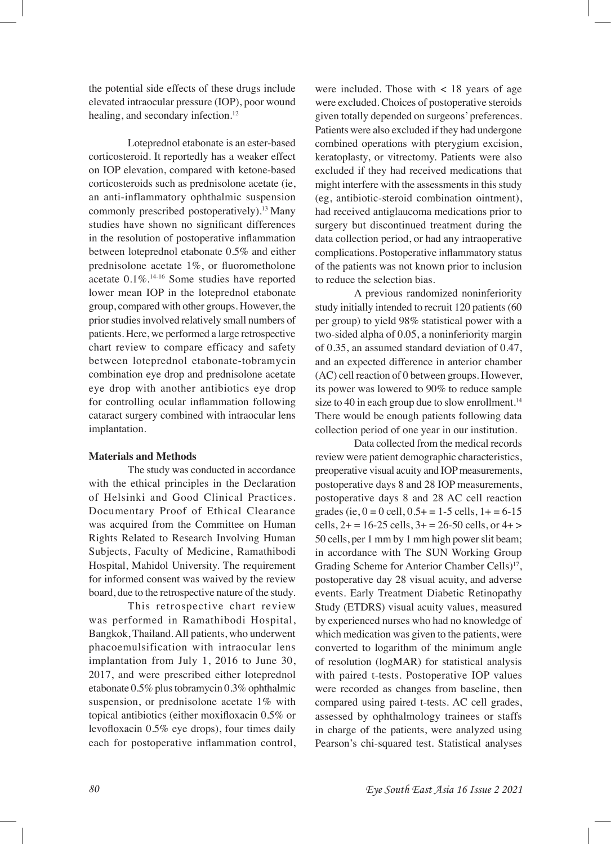the potential side effects of these drugs include elevated intraocular pressure (IOP), poor wound healing, and secondary infection.<sup>12</sup>

Loteprednol etabonate is an ester-based corticosteroid. It reportedly has a weaker effect on IOP elevation, compared with ketone-based corticosteroids such as prednisolone acetate (ie, an anti-inflammatory ophthalmic suspension commonly prescribed postoperatively).13 Many studies have shown no signifcant differences in the resolution of postoperative infammation between loteprednol etabonate 0.5% and either prednisolone acetate 1%, or fuorometholone acetate 0.1%.14-16 Some studies have reported lower mean IOP in the loteprednol etabonate group, compared with other groups. However, the prior studies involved relatively small numbers of patients. Here, we performed a large retrospective chart review to compare efficacy and safety between loteprednol etabonate-tobramycin combination eye drop and prednisolone acetate eye drop with another antibiotics eye drop for controlling ocular infammation following cataract surgery combined with intraocular lens implantation.

### **Materials and Methods**

The study was conducted in accordance with the ethical principles in the Declaration of Helsinki and Good Clinical Practices. Documentary Proof of Ethical Clearance was acquired from the Committee on Human Rights Related to Research Involving Human Subjects, Faculty of Medicine, Ramathibodi Hospital, Mahidol University. The requirement for informed consent was waived by the review board, due to the retrospective nature of the study.

This retrospective chart review was performed in Ramathibodi Hospital, Bangkok, Thailand. All patients, who underwent phacoemulsification with intraocular lens implantation from July 1, 2016 to June 30, 2017, and were prescribed either loteprednol etabonate 0.5% plus tobramycin 0.3% ophthalmic suspension, or prednisolone acetate 1% with topical antibiotics (either moxifoxacin 0.5% or levofloxacin 0.5% eye drops), four times daily each for postoperative infammation control, were included. Those with  $< 18$  years of age were excluded. Choices of postoperative steroids given totally depended on surgeons' preferences. Patients were also excluded if they had undergone combined operations with pterygium excision, keratoplasty, or vitrectomy. Patients were also excluded if they had received medications that might interfere with the assessments in this study (eg, antibiotic-steroid combination ointment), had received antiglaucoma medications prior to surgery but discontinued treatment during the data collection period, or had any intraoperative complications. Postoperative infammatory status of the patients was not known prior to inclusion to reduce the selection bias.

A previous randomized noninferiority study initially intended to recruit 120 patients (60 per group) to yield 98% statistical power with a two-sided alpha of 0.05, a noninferiority margin of 0.35, an assumed standard deviation of 0.47, and an expected difference in anterior chamber (AC) cell reaction of 0 between groups. However, its power was lowered to 90% to reduce sample size to 40 in each group due to slow enrollment. $14$ There would be enough patients following data collection period of one year in our institution.

Data collected from the medical records review were patient demographic characteristics, preoperative visual acuity and IOP measurements, postoperative days 8 and 28 IOP measurements, postoperative days 8 and 28 AC cell reaction grades (ie,  $0 = 0$  cell,  $0.5 + 1 = 1.5$  cells,  $1 + 1 = 6.15$ cells,  $2+ = 16-25$  cells,  $3+ = 26-50$  cells, or  $4+ > 0$ 50 cells, per 1 mm by 1 mm high power slit beam; in accordance with The SUN Working Group Grading Scheme for Anterior Chamber Cells)<sup>17</sup>, postoperative day 28 visual acuity, and adverse events. Early Treatment Diabetic Retinopathy Study (ETDRS) visual acuity values, measured by experienced nurses who had no knowledge of which medication was given to the patients, were converted to logarithm of the minimum angle of resolution (logMAR) for statistical analysis with paired t-tests. Postoperative IOP values were recorded as changes from baseline, then compared using paired t-tests. AC cell grades, assessed by ophthalmology trainees or staffs in charge of the patients, were analyzed using Pearson's chi-squared test. Statistical analyses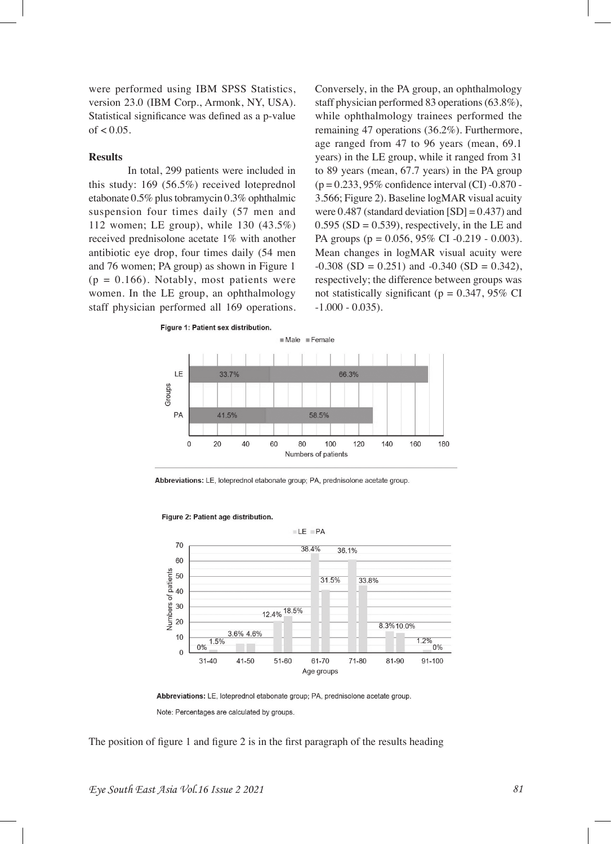were performed using IBM SPSS Statistics, version 23.0 (IBM Corp., Armonk, NY, USA). Statistical signifcance was defned as a p-value  $of < 0.05$ .

#### **Results**

In total, 299 patients were included in this study: 169 (56.5%) received loteprednol etabonate 0.5% plus tobramycin 0.3% ophthalmic suspension four times daily (57 men and 112 women; LE group), while 130 (43.5%) received prednisolone acetate 1% with another antibiotic eye drop, four times daily (54 men and 76 women; PA group) as shown in Figure 1  $(p = 0.166)$ . Notably, most patients were women. In the LE group, an ophthalmology staff physician performed all 169 operations.

Figure 1: Patient sex distribution.

Conversely, in the PA group, an ophthalmology staff physician performed 83 operations (63.8%), while ophthalmology trainees performed the remaining 47 operations (36.2%). Furthermore, age ranged from 47 to 96 years (mean, 69.1 years) in the LE group, while it ranged from 31 to 89 years (mean, 67.7 years) in the PA group (p = 0.233, 95% confdence interval (CI) -0.870 - 3.566; Figure 2). Baseline logMAR visual acuity were  $0.487$  (standard deviation  $[SD] = 0.437$ ) and  $0.595$  (SD = 0.539), respectively, in the LE and PA groups ( $p = 0.056$ , 95% CI -0.219 - 0.003). Mean changes in logMAR visual acuity were  $-0.308$  (SD = 0.251) and  $-0.340$  (SD = 0.342), respectively; the difference between groups was not statistically significant ( $p = 0.347$ , 95% CI  $-1.000 - 0.035$ ).



Abbreviations: LE, loteprednol etabonate group; PA, prednisolone acetate group.



Abbreviations: LE, loteprednol etabonate group; PA, prednisolone acetate group. Note: Percentages are calculated by groups.

The position of figure 1 and figure 2 is in the first paragraph of the results heading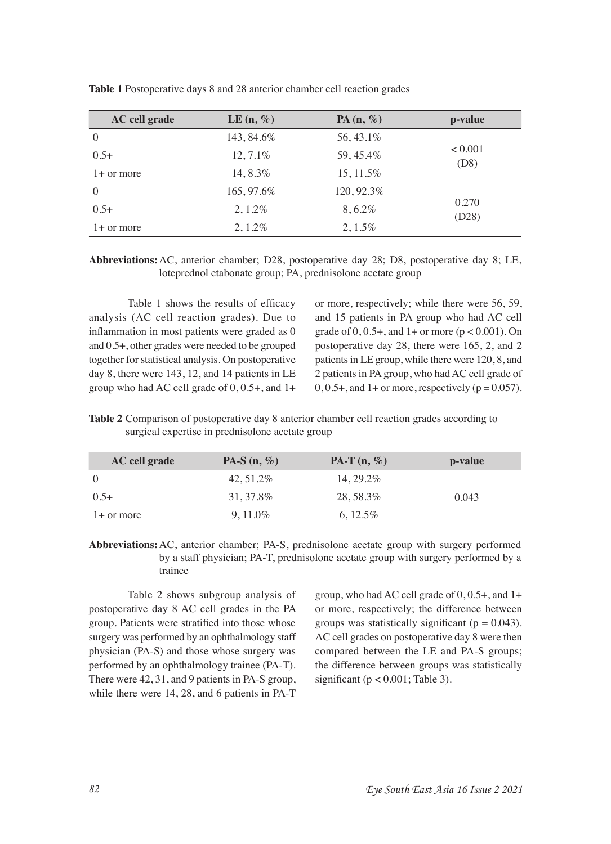| AC cell grade | LE $(n, \%)$ | PA(n, %)   | p-value         |
|---------------|--------------|------------|-----------------|
| $\Omega$      | 143, 84.6%   | 56, 43.1%  | < 0.001<br>(D8) |
| $0.5+$        | 12,7.1%      | 59, 45.4%  |                 |
| $1+$ or more  | 14, 8.3%     | 15, 11.5%  |                 |
| $\Omega$      | 165, 97.6%   | 120, 92.3% | 0.270<br>(D28)  |
| $0.5+$        | $2, 1.2\%$   | 8,6.2%     |                 |
| $1+$ or more  | $2, 1.2\%$   | $2, 1.5\%$ |                 |

**Table 1** Postoperative days 8 and 28 anterior chamber cell reaction grades

**Abbreviations:**AC, anterior chamber; D28, postoperative day 28; D8, postoperative day 8; LE, loteprednol etabonate group; PA, prednisolone acetate group

Table 1 shows the results of efficacy analysis (AC cell reaction grades). Due to infammation in most patients were graded as 0 and 0.5+, other grades were needed to be grouped together for statistical analysis. On postoperative day 8, there were 143, 12, and 14 patients in LE group who had AC cell grade of 0, 0.5+, and 1+

or more, respectively; while there were 56, 59, and 15 patients in PA group who had AC cell grade of  $0, 0.5+$ , and  $1+$  or more ( $p < 0.001$ ). On postoperative day 28, there were 165, 2, and 2 patients in LE group, while there were 120, 8, and 2 patients in PA group, who had AC cell grade of  $0, 0.5+$ , and  $1+$  or more, respectively ( $p = 0.057$ ).

**Table 2** Comparison of postoperative day 8 anterior chamber cell reaction grades according to surgical expertise in prednisolone acetate group

| AC cell grade | PA-S $(n, \%)$ | PA-T $(n, \%)$ | p-value |
|---------------|----------------|----------------|---------|
| $\theta$      | 42, 51.2%      | 14, 29.2%      |         |
| $0.5+$        | 31.37.8%       | 28,58.3%       | 0.043   |
| 1+ or more    | $9.11.0\%$     | $6.12.5\%$     |         |

**Abbreviations:**AC, anterior chamber; PA-S, prednisolone acetate group with surgery performed by a staff physician; PA-T, prednisolone acetate group with surgery performed by a trainee

Table 2 shows subgroup analysis of postoperative day 8 AC cell grades in the PA group. Patients were stratifed into those whose surgery was performed by an ophthalmology staff physician (PA-S) and those whose surgery was performed by an ophthalmology trainee (PA-T). There were 42, 31, and 9 patients in PA-S group, while there were 14, 28, and 6 patients in PA-T

group, who had AC cell grade of 0, 0.5+, and 1+ or more, respectively; the difference between groups was statistically significant ( $p = 0.043$ ). AC cell grades on postoperative day 8 were then compared between the LE and PA-S groups; the difference between groups was statistically significant ( $p < 0.001$ ; Table 3).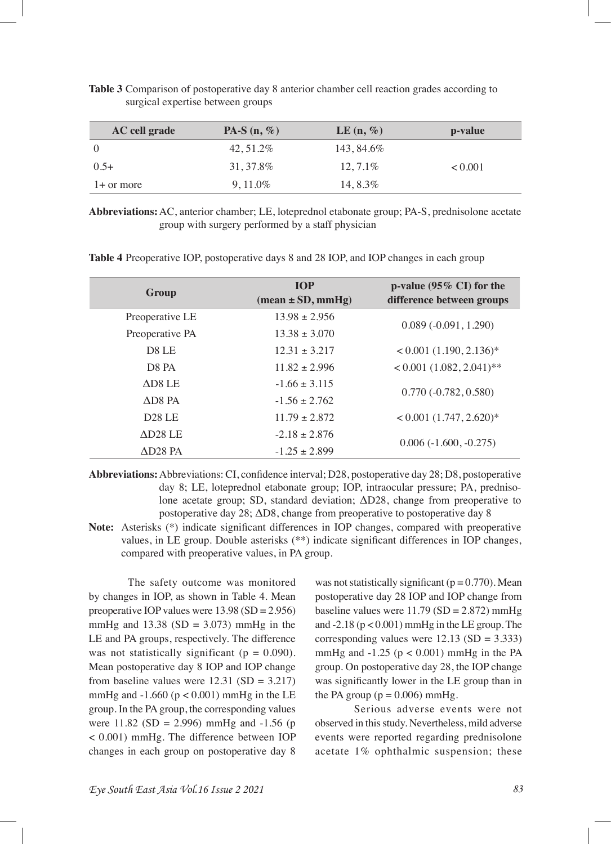| AC cell grade | PA-S $(n, \%)$ | LE $(n, \mathcal{C})$ | p-value |
|---------------|----------------|-----------------------|---------|
|               | 42, 51.2%      | 143, 84.6%            |         |
| $0.5+$        | 31.37.8%       | $12, 7.1\%$           | < 0.001 |
| $1+$ or more  | $9.11.0\%$     | 14.8.3%               |         |

**Table 3** Comparison of postoperative day 8 anterior chamber cell reaction grades according to surgical expertise between groups

**Abbreviations:**AC, anterior chamber; LE, loteprednol etabonate group; PA-S, prednisolone acetate group with surgery performed by a staff physician

| Group                         | <b>TOP</b><br>$(\text{mean} \pm \text{SD}, \text{mmHg})$ | p-value $(95\% \text{ CI})$ for the<br>difference between groups |  |
|-------------------------------|----------------------------------------------------------|------------------------------------------------------------------|--|
| Preoperative LE               | $13.98 \pm 2.956$                                        | $0.089(-0.091, 1.290)$                                           |  |
| Preoperative PA               | $13.38 \pm 3.070$                                        |                                                                  |  |
| D8 LE                         | $12.31 \pm 3.217$                                        | $< 0.001 (1.190, 2.136)^{*}$                                     |  |
| D <sub>8</sub> P <sub>A</sub> | $11.82 \pm 2.996$                                        | $< 0.001 (1.082, 2.041)$ **                                      |  |
| $\triangle$ D8 LE             | $-1.66 \pm 3.115$                                        | $0.770(-0.782, 0.580)$                                           |  |
| $\triangle$ D <sub>8</sub> PA | $-1.56 + 2.762$                                          |                                                                  |  |
| $D28$ LE                      | $11.79 \pm 2.872$                                        | $< 0.001$ (1.747, 2.620) <sup>*</sup>                            |  |
| $AD28$ LE                     | $-2.18 \pm 2.876$                                        | $0.006(-1.600, -0.275)$                                          |  |
| $AD28$ PA                     | $-1.25 + 2.899$                                          |                                                                  |  |

**Table 4** Preoperative IOP, postoperative days 8 and 28 IOP, and IOP changes in each group

- **Abbreviations:**Abbreviations: CI, confdence interval; D28, postoperative day 28; D8, postoperative day 8; LE, loteprednol etabonate group; IOP, intraocular pressure; PA, prednisolone acetate group; SD, standard deviation; ΔD28, change from preoperative to postoperative day 28; ΔD8, change from preoperative to postoperative day 8
- **Note:** Asterisks (\*) indicate signifcant differences in IOP changes, compared with preoperative values, in LE group. Double asterisks (\*\*) indicate signifcant differences in IOP changes, compared with preoperative values, in PA group.

The safety outcome was monitored by changes in IOP, as shown in Table 4. Mean preoperative IOP values were  $13.98$  (SD = 2.956) mmHg and  $13.38$  (SD =  $3.073$ ) mmHg in the LE and PA groups, respectively. The difference was not statistically significant ( $p = 0.090$ ). Mean postoperative day 8 IOP and IOP change from baseline values were  $12.31$  (SD =  $3.217$ ) mmHg and  $-1.660$  ( $p < 0.001$ ) mmHg in the LE group. In the PA group, the corresponding values were 11.82 (SD = 2.996) mmHg and -1.56 (p < 0.001) mmHg. The difference between IOP changes in each group on postoperative day 8

was not statistically significant ( $p = 0.770$ ). Mean postoperative day 28 IOP and IOP change from baseline values were  $11.79$  (SD = 2.872) mmHg and  $-2.18$  ( $p < 0.001$ ) mmHg in the LE group. The corresponding values were  $12.13$  (SD = 3.333) mmHg and  $-1.25$  ( $p < 0.001$ ) mmHg in the PA group. On postoperative day 28, the IOP change was signifcantly lower in the LE group than in the PA group ( $p = 0.006$ ) mmHg.

Serious adverse events were not observed in this study. Nevertheless, mild adverse events were reported regarding prednisolone acetate 1% ophthalmic suspension; these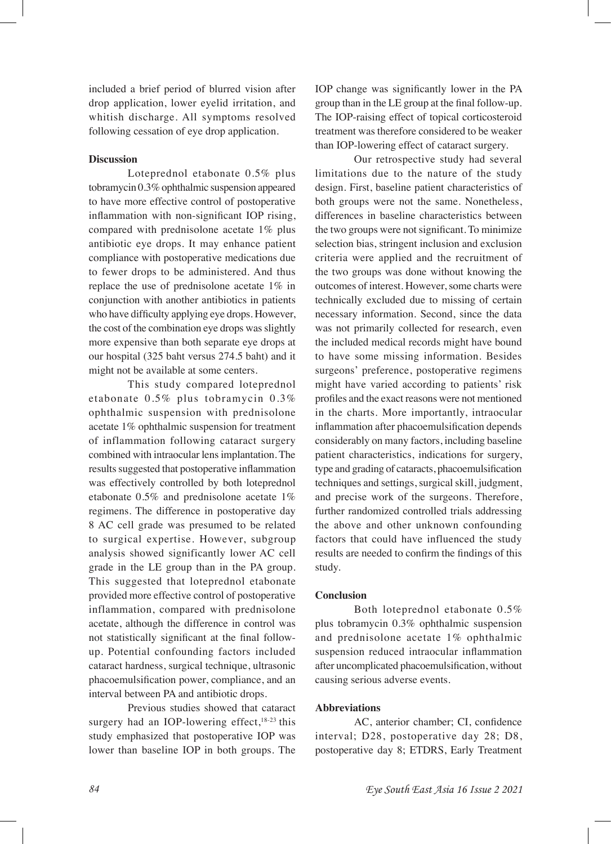included a brief period of blurred vision after drop application, lower eyelid irritation, and whitish discharge. All symptoms resolved following cessation of eye drop application.

#### **Discussion**

Loteprednol etabonate 0.5% plus tobramycin 0.3% ophthalmic suspension appeared to have more effective control of postoperative infammation with non-signifcant IOP rising, compared with prednisolone acetate 1% plus antibiotic eye drops. It may enhance patient compliance with postoperative medications due to fewer drops to be administered. And thus replace the use of prednisolone acetate 1% in conjunction with another antibiotics in patients who have diffculty applying eye drops. However, the cost of the combination eye drops was slightly more expensive than both separate eye drops at our hospital (325 baht versus 274.5 baht) and it might not be available at some centers.

This study compared loteprednol etabonate 0.5% plus tobramycin 0.3% ophthalmic suspension with prednisolone acetate 1% ophthalmic suspension for treatment of inflammation following cataract surgery combined with intraocular lens implantation. The results suggested that postoperative infammation was effectively controlled by both loteprednol etabonate 0.5% and prednisolone acetate 1% regimens. The difference in postoperative day 8 AC cell grade was presumed to be related to surgical expertise. However, subgroup analysis showed significantly lower AC cell grade in the LE group than in the PA group. This suggested that loteprednol etabonate provided more effective control of postoperative inflammation, compared with prednisolone acetate, although the difference in control was not statistically signifcant at the fnal followup. Potential confounding factors included cataract hardness, surgical technique, ultrasonic phacoemulsifcation power, compliance, and an interval between PA and antibiotic drops.

Previous studies showed that cataract surgery had an IOP-lowering effect,<sup>18-23</sup> this study emphasized that postoperative IOP was lower than baseline IOP in both groups. The

IOP change was signifcantly lower in the PA group than in the LE group at the fnal follow-up. The IOP-raising effect of topical corticosteroid treatment was therefore considered to be weaker than IOP-lowering effect of cataract surgery.

Our retrospective study had several limitations due to the nature of the study design. First, baseline patient characteristics of both groups were not the same. Nonetheless, differences in baseline characteristics between the two groups were not signifcant. To minimize selection bias, stringent inclusion and exclusion criteria were applied and the recruitment of the two groups was done without knowing the outcomes of interest. However, some charts were technically excluded due to missing of certain necessary information. Second, since the data was not primarily collected for research, even the included medical records might have bound to have some missing information. Besides surgeons' preference, postoperative regimens might have varied according to patients' risk profles and the exact reasons were not mentioned in the charts. More importantly, intraocular infammation after phacoemulsifcation depends considerably on many factors, including baseline patient characteristics, indications for surgery, type and grading of cataracts, phacoemulsifcation techniques and settings, surgical skill, judgment, and precise work of the surgeons. Therefore, further randomized controlled trials addressing the above and other unknown confounding factors that could have influenced the study results are needed to confrm the fndings of this study.

#### **Conclusion**

Both loteprednol etabonate 0.5% plus tobramycin 0.3% ophthalmic suspension and prednisolone acetate 1% ophthalmic suspension reduced intraocular infammation after uncomplicated phacoemulsifcation, without causing serious adverse events.

#### **Abbreviations**

AC, anterior chamber; CI, confdence interval; D28, postoperative day 28; D8, postoperative day 8; ETDRS, Early Treatment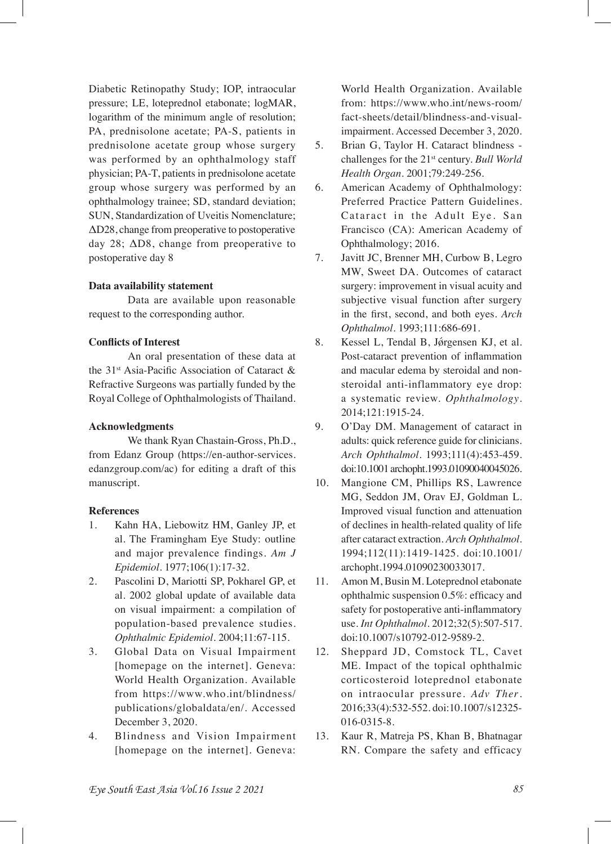Diabetic Retinopathy Study; IOP, intraocular pressure; LE, loteprednol etabonate; logMAR, logarithm of the minimum angle of resolution; PA, prednisolone acetate; PA-S, patients in prednisolone acetate group whose surgery was performed by an ophthalmology staff physician; PA-T, patients in prednisolone acetate group whose surgery was performed by an ophthalmology trainee; SD, standard deviation; SUN, Standardization of Uveitis Nomenclature; ΔD28, change from preoperative to postoperative day 28; ΔD8, change from preoperative to postoperative day 8

### **Data availability statement**

Data are available upon reasonable request to the corresponding author.

## **Conficts of Interest**

An oral presentation of these data at the 31<sup>st</sup> Asia-Pacific Association of Cataract & Refractive Surgeons was partially funded by the Royal College of Ophthalmologists of Thailand.

### **Acknowledgments**

We thank Ryan Chastain-Gross, Ph.D., from Edanz Group (https://en-author-services. edanzgroup.com/ac) for editing a draft of this manuscript.

#### **References**

- 1. Kahn HA, Liebowitz HM, Ganley JP, et al. The Framingham Eye Study: outline and major prevalence findings. *Am J Epidemiol*. 1977;106(1):17-32.
- 2. Pascolini D, Mariotti SP, Pokharel GP, et al. 2002 global update of available data on visual impairment: a compilation of population-based prevalence studies. *Ophthalmic Epidemiol*. 2004;11:67-115.
- 3. Global Data on Visual Impairment [homepage on the internet]. Geneva: World Health Organization. Available from https://www.who.int/blindness/ publications/globaldata/en/. Accessed December 3, 2020.
- 4. Blindness and Vision Impairment [homepage on the internet]. Geneva:

World Health Organization. Available from: https://www.who.int/news-room/ fact-sheets/detail/blindness-and-visualimpairment. Accessed December 3, 2020.

- 5. Brian G, Taylor H. Cataract blindness challenges for the 21st century. *Bull World Health Organ*. 2001;79:249-256.
- 6. American Academy of Ophthalmology: Preferred Practice Pattern Guidelines. Cataract in the Adult Eye. San Francisco (CA): American Academy of Ophthalmology; 2016.
- 7. Javitt JC, Brenner MH, Curbow B, Legro MW, Sweet DA. Outcomes of cataract surgery: improvement in visual acuity and subjective visual function after surgery in the frst, second, and both eyes. *Arch Ophthalmol*. 1993;111:686-691.
- 8. Kessel L, Tendal B, Jørgensen KJ, et al. Post-cataract prevention of infammation and macular edema by steroidal and nonsteroidal anti-inflammatory eye drop: a systematic review. *Ophthalmology*. 2014;121:1915-24.
- 9. O'Day DM. Management of cataract in adults: quick reference guide for clinicians. *Arch Ophthalmol*. 1993;111(4):453-459. doi:10.1001 archopht.1993.01090040045026.
- 10. Mangione CM, Phillips RS, Lawrence MG, Seddon JM, Orav EJ, Goldman L. Improved visual function and attenuation of declines in health-related quality of life after cataract extraction. *Arch Ophthalmol*. 1994;112(11):1419-1425. doi:10.1001/ archopht.1994.01090230033017.
- 11. Amon M, Busin M. Loteprednol etabonate ophthalmic suspension 0.5%: efficacy and safety for postoperative anti-infammatory use. *Int Ophthalmol*. 2012;32(5):507-517. doi:10.1007/s10792-012-9589-2.
- 12. Sheppard JD, Comstock TL, Cavet ME. Impact of the topical ophthalmic corticosteroid loteprednol etabonate on intraocular pressure. *Adv Ther*. 2016;33(4):532-552. doi:10.1007/s12325- 016-0315-8.
- 13. Kaur R, Matreja PS, Khan B, Bhatnagar RN. Compare the safety and efficacy